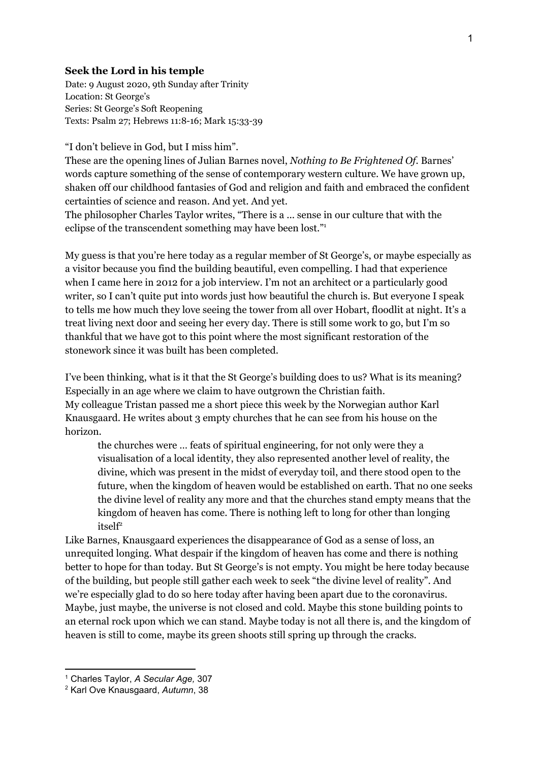## **Seek the Lord in his temple**

Date: 9 August 2020, 9th Sunday after Trinity Location: St George's Series: St George's Soft Reopening Texts: Psalm 27; Hebrews 11:8-16; Mark 15:33-39

"I don't believe in God, but I miss him".

These are the opening lines of Julian Barnes novel, *Nothing to Be Frightened Of.* Barnes' words capture something of the sense of contemporary western culture. We have grown up, shaken off our childhood fantasies of God and religion and faith and embraced the confident certainties of science and reason. And yet. And yet.

The philosopher Charles Taylor writes, "There is a ... sense in our culture that with the eclipse of the transcendent something may have been lost."<sup>1</sup>

My guess is that you're here today as a regular member of St George's, or maybe especially as a visitor because you find the building beautiful, even compelling. I had that experience when I came here in 2012 for a job interview. I'm not an architect or a particularly good writer, so I can't quite put into words just how beautiful the church is. But everyone I speak to tells me how much they love seeing the tower from all over Hobart, floodlit at night. It's a treat living next door and seeing her every day. There is still some work to go, but I'm so thankful that we have got to this point where the most significant restoration of the stonework since it was built has been completed.

I've been thinking, what is it that the St George's building does to us? What is its meaning? Especially in an age where we claim to have outgrown the Christian faith. My colleague Tristan passed me a short piece this week by the Norwegian author Karl Knausgaard. He writes about 3 empty churches that he can see from his house on the horizon.

the churches were … feats of spiritual engineering, for not only were they a visualisation of a local identity, they also represented another level of reality, the divine, which was present in the midst of everyday toil, and there stood open to the future, when the kingdom of heaven would be established on earth. That no one seeks the divine level of reality any more and that the churches stand empty means that the kingdom of heaven has come. There is nothing left to long for other than longing itself 2

Like Barnes, Knausgaard experiences the disappearance of God as a sense of loss, an unrequited longing. What despair if the kingdom of heaven has come and there is nothing better to hope for than today. But St George's is not empty. You might be here today because of the building, but people still gather each week to seek "the divine level of reality". And we're especially glad to do so here today after having been apart due to the coronavirus. Maybe, just maybe, the universe is not closed and cold. Maybe this stone building points to an eternal rock upon which we can stand. Maybe today is not all there is, and the kingdom of heaven is still to come, maybe its green shoots still spring up through the cracks.

<sup>1</sup> Charles Taylor, *A Secular Age,* 307

<sup>2</sup> Karl Ove Knausgaard, *Autumn*, 38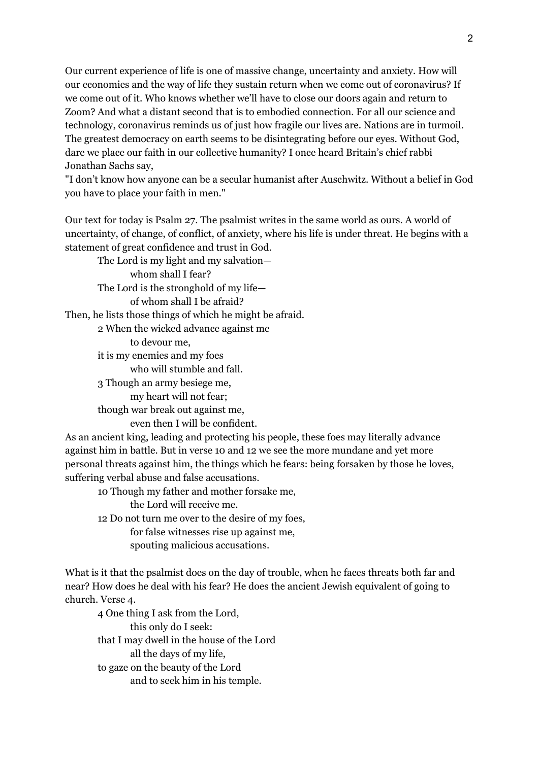Our current experience of life is one of massive change, uncertainty and anxiety. How will our economies and the way of life they sustain return when we come out of coronavirus? If we come out of it. Who knows whether we'll have to close our doors again and return to Zoom? And what a distant second that is to embodied connection. For all our science and technology, coronavirus reminds us of just how fragile our lives are. Nations are in turmoil. The greatest democracy on earth seems to be disintegrating before our eyes. Without God, dare we place our faith in our collective humanity? I once heard Britain's chief rabbi Jonathan Sachs say,

"I don't know how anyone can be a secular humanist after Auschwitz. Without a belief in God you have to place your faith in men."

Our text for today is Psalm 27. The psalmist writes in the same world as ours. A world of uncertainty, of change, of conflict, of anxiety, where his life is under threat. He begins with a statement of great confidence and trust in God.

The Lord is my light and my salvation whom shall I fear? The Lord is the stronghold of my life of whom shall I be afraid? Then, he lists those things of which he might be afraid. 2 When the wicked advance against me to devour me, it is my enemies and my foes who will stumble and fall. 3 Though an army besiege me, my heart will not fear; though war break out against me, even then I will be confident.

As an ancient king, leading and protecting his people, these foes may literally advance against him in battle. But in verse 10 and 12 we see the more mundane and yet more personal threats against him, the things which he fears: being forsaken by those he loves, suffering verbal abuse and false accusations.

10 Though my father and mother forsake me, the Lord will receive me. 12 Do not turn me over to the desire of my foes, for false witnesses rise up against me,

spouting malicious accusations.

What is it that the psalmist does on the day of trouble, when he faces threats both far and near? How does he deal with his fear? He does the ancient Jewish equivalent of going to church. Verse 4.

4 One thing I ask from the Lord, this only do I seek: that I may dwell in the house of the Lord all the days of my life, to gaze on the beauty of the Lord and to seek him in his temple.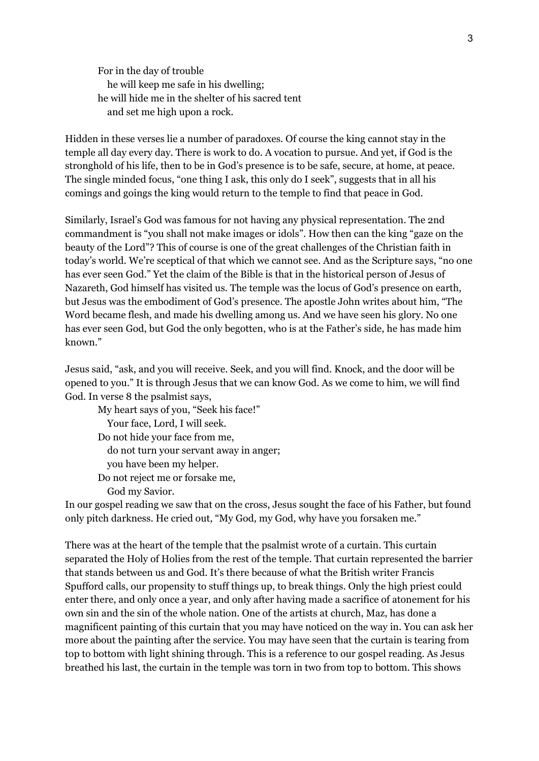For in the day of trouble he will keep me safe in his dwelling; he will hide me in the shelter of his sacred tent and set me high upon a rock.

Hidden in these verses lie a number of paradoxes. Of course the king cannot stay in the temple all day every day. There is work to do. A vocation to pursue. And yet, if God is the stronghold of his life, then to be in God's presence is to be safe, secure, at home, at peace. The single minded focus, "one thing I ask, this only do I seek", suggests that in all his comings and goings the king would return to the temple to find that peace in God.

Similarly, Israel's God was famous for not having any physical representation. The 2nd commandment is "you shall not make images or idols". How then can the king "gaze on the beauty of the Lord"? This of course is one of the great challenges of the Christian faith in today's world. We're sceptical of that which we cannot see. And as the Scripture says, "no one has ever seen God." Yet the claim of the Bible is that in the historical person of Jesus of Nazareth, God himself has visited us. The temple was the locus of God's presence on earth, but Jesus was the embodiment of God's presence. The apostle John writes about him, "The Word became flesh, and made his dwelling among us. And we have seen his glory. No one has ever seen God, but God the only begotten, who is at the Father's side, he has made him known."

Jesus said, "ask, and you will receive. Seek, and you will find. Knock, and the door will be opened to you." It is through Jesus that we can know God. As we come to him, we will find God. In verse 8 the psalmist says,

My heart says of you, "Seek his face!" Your face, Lord, I will seek. Do not hide your face from me, do not turn your servant away in anger; you have been my helper. Do not reject me or forsake me, God my Savior.

In our gospel reading we saw that on the cross, Jesus sought the face of his Father, but found only pitch darkness. He cried out, "My God, my God, why have you forsaken me."

There was at the heart of the temple that the psalmist wrote of a curtain. This curtain separated the Holy of Holies from the rest of the temple. That curtain represented the barrier that stands between us and God. It's there because of what the British writer Francis Spufford calls, our propensity to stuff things up, to break things. Only the high priest could enter there, and only once a year, and only after having made a sacrifice of atonement for his own sin and the sin of the whole nation. One of the artists at church, Maz, has done a magnificent painting of this curtain that you may have noticed on the way in. You can ask her more about the painting after the service. You may have seen that the curtain is tearing from top to bottom with light shining through. This is a reference to our gospel reading. As Jesus breathed his last, the curtain in the temple was torn in two from top to bottom. This shows